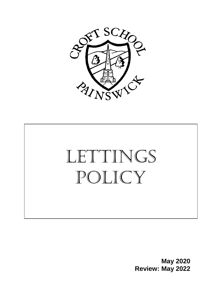



**May 2020 Review: May 2022**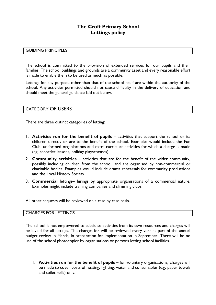### **The Croft Primary School Lettings policy**

#### GUIDING PRINCIPLES

The school is committed to the provision of extended services for our pupils and their families. The school buildings and grounds are a community asset and every reasonable effort is made to enable them to be used as much as possible.

Lettings for any purpose other than that of the school itself are within the authority of the school. Any activities permitted should not cause difficulty in the delivery of education and should meet the general guidance laid out below.

#### CATEGORY OF USERS

There are three distinct categories of letting:

- 1. **Activities run for the benefit of pupils** activities that support the school or its children directly or are to the benefit of the school. Examples would include the Fun Club, uniformed organisations and extra-curricular activities for which a charge is made (eg. recorder lessons, holiday playschemes).
- 2. **Community activities**  activities that are for the benefit of the wider community, possibly including children from the school, and are organised by non-commercial or charitable bodies. Examples would include drama rehearsals for community productions and the Local History Society
- 3. **Commercial** lettings– hirings by appropriate organisations of a commercial nature. Examples might include training companies and slimming clubs.

All other requests will be reviewed on a case by case basis.

#### CHARGES FOR LETTINGS

The school is not empowered to subsidise activities from its own resources and charges will be levied for all lettings. The charges for will be reviewed every year as part of the annual budget review in March, in preparation for implementation in September. There will be no use of the school photocopier by organisations or persons letting school facilities.

1. **Activities run for the benefit of pupils –** for voluntary organisations**,** charges will be made to cover costs of heating, lighting, water and consumables (e.g. paper towels and toilet rolls) only.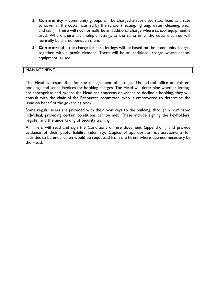- 2. **Community** community groups will be charged a subsidised rate, fixed at a rate to cover all the costs incurred by the school (heating, lighting, water, cleaning, wear and tear). There will not normally be an additional charge where school equipment is used. Where there are multiple lettings at the same time, the costs incurred will normally be shared between them.
- 3. **Commercial** the charge for such lettings will be based on the community charge, together with a profit element. There will be an additional charge where school equipment is used.

#### MANAGEMENT

The Head is responsible for the management of lettings. The school office administers bookings and sends invoices for booking charges. The Head will determine whether lettings are appropriate and, where the Head has concerns or wishes to decline a booking, they will consult with the chair of the Resources committee, who is empowered to determine the issue on behalf of the governing body.

Some regular users are provided with their own keys to the building, through a nominated individual, providing certain conditions can be met. These include signing the keyholders' register and the undertaking of security training.

All hirers will read and sign the Conditions of hire document (appendix 1) and provide evidence of their public liability indemnity. Copies of appropriate risk assessments for activities to be undertaken would be requested from the hirers where deemed necessary by the Head.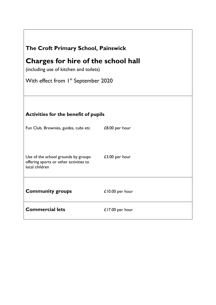| The Croft Primary School, Painswick<br><b>Charges for hire of the school hall</b><br>(including use of kitchen and toilets) |                  |  |
|-----------------------------------------------------------------------------------------------------------------------------|------------------|--|
|                                                                                                                             |                  |  |
|                                                                                                                             |                  |  |
| <b>Activities for the benefit of pupils</b>                                                                                 |                  |  |
| Fun Club, Brownies, guides, cubs etc                                                                                        | £8.00 per hour   |  |
| Use of the school grounds by groups<br>offering sports or other activities to<br>local children                             | $£3.00$ per hour |  |
| <b>Community groups</b>                                                                                                     | £10.00 per hour  |  |
| <b>Commercial lets</b>                                                                                                      | £17.00 per hour  |  |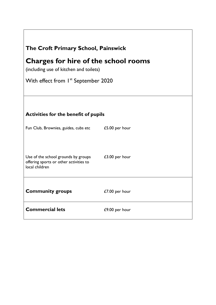| The Croft Primary School, Painswick<br>Charges for hire of the school rooms<br>(including use of kitchen and toilets) |                  |  |
|-----------------------------------------------------------------------------------------------------------------------|------------------|--|
|                                                                                                                       |                  |  |
|                                                                                                                       |                  |  |
| <b>Activities for the benefit of pupils</b>                                                                           |                  |  |
| Fun Club, Brownies, guides, cubs etc                                                                                  | £5.00 per hour   |  |
| Use of the school grounds by groups<br>offering sports or other activities to<br>local children                       | $£3.00$ per hour |  |
| <b>Community groups</b>                                                                                               | £7.00 per hour   |  |
| <b>Commercial lets</b>                                                                                                | £9.00 per hour   |  |

٦